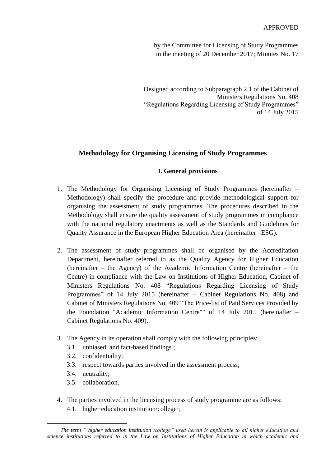by the Committee for Licensing of Study Programmes in the meeting of 20 December 2017; Minutes No. 17

Designed according to Subparagraph 2.1 of the Cabinet of Ministers Regulations No. 408 "Regulations Regarding Licensing of Study Programmes" of 14 July 2015

# **Methodology for Organising Licensing of Study Programmes**

### **I. General provisions**

- 1. The Methodology for Organising Licensing of Study Programmes (hereinafter Methodology) shall specify the procedure and provide methodological support for organising the assessment of study programmes. The procedures described in the Methodology shall ensure the quality assessment of study programmes in compliance with the national regulatory enactments as well as the Standards and Guidelines for Quality Assurance in the European Higher Education Area (hereinafter –ESG).
- 2. The assessment of study programmes shall be organised by the Accreditation Department, hereinafter referred to as the Quality Agency for Higher Education (hereinafter – the Agency) of the Academic Information Centre (hereinafter – the Centre) in compliance with the Law on Institutions of Higher Education, Cabinet of Ministers Regulations No. 408 "Regulations Regarding Licensing of Study Programmes" of 14 July 2015 (hereinafter – Cabinet Regulations No. 408) and Cabinet of Ministers Regulations No. 409 "The Price-list of Paid Services Provided by the Foundation "Academic Information Centre"" of 14 July 2015 (hereinafter – Cabinet Regulations No. 409).
- 3. The Agency in its operation shall comply with the following principles:
	- 3.1. unbiased and fact-based findings ;
	- 3.2. confidentiality;
	- 3.3. respect towards parties involved in the assessment process;
	- 3.4. neutrality;

**.** 

- 3.5. collaboration.
- 4. The parties involved in the licensing process of study programme are as follows: 4.1. higher education institution/college<sup>1</sup>;

<sup>1</sup> *The term " higher education institution /college" used herein is applicable to all higher education and science institutions referred to in the Law on Institutions of Higher Education in which academic and*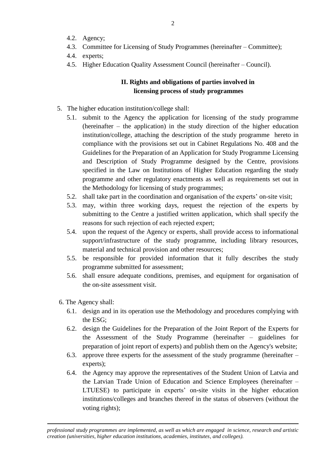- 4.2. Agency;
- 4.3. Committee for Licensing of Study Programmes (hereinafter Committee);
- 4.4. experts;
- 4.5. Higher Education Quality Assessment Council (hereinafter Council).

# **II. Rights and obligations of parties involved in licensing process of study programmes**

- 5. The higher education institution/college shall:
	- 5.1. submit to the Agency the application for licensing of the study programme (hereinafter – the application) in the study direction of the higher education institution/college, attaching the description of the study programme hereto in compliance with the provisions set out in Cabinet Regulations No. 408 and the Guidelines for the Preparation of an Application for Study Programme Licensing and Description of Study Programme designed by the Centre, provisions specified in the Law on Institutions of Higher Education regarding the study programme and other regulatory enactments as well as requirements set out in the Methodology for licensing of study programmes;
	- 5.2. shall take part in the coordination and organisation of the experts' on-site visit;
	- 5.3. may, within three working days, request the rejection of the experts by submitting to the Centre a justified written application, which shall specify the reasons for such rejection of each rejected expert;
	- 5.4. upon the request of the Agency or experts, shall provide access to informational support/infrastructure of the study programme, including library resources, material and technical provision and other resources;
	- 5.5. be responsible for provided information that it fully describes the study programme submitted for assessment;
	- 5.6. shall ensure adequate conditions, premises, and equipment for organisation of the on-site assessment visit.
- 6. The Agency shall:

**.** 

- 6.1. design and in its operation use the Methodology and procedures complying with the ESG;
- 6.2. design the Guidelines for the Preparation of the Joint Report of the Experts for the Assessment of the Study Programme (hereinafter – guidelines for preparation of joint report of experts) and publish them on the Agency's website;
- 6.3. approve three experts for the assessment of the study programme (hereinafter experts);
- 6.4. the Agency may approve the representatives of the Student Union of Latvia and the Latvian Trade Union of Education and Science Employees (hereinafter – LTUESE) to participate in experts' on-site visits in the higher education institutions/colleges and branches thereof in the status of observers (without the voting rights);

*professional study programmes are implemented, as well as which are engaged in science, research and artistic creation (universities, higher education institutions, academies, institutes, and colleges).*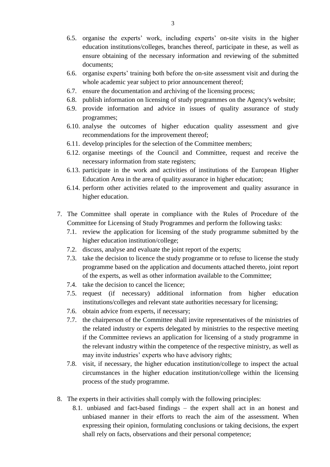- 6.5. organise the experts' work, including experts' on-site visits in the higher education institutions/colleges, branches thereof, participate in these, as well as ensure obtaining of the necessary information and reviewing of the submitted documents;
- 6.6. organise experts' training both before the on-site assessment visit and during the whole academic year subject to prior announcement thereof;
- 6.7. ensure the documentation and archiving of the licensing process;
- 6.8. publish information on licensing of study programmes on the Agency's website;
- 6.9. provide information and advice in issues of quality assurance of study programmes;
- 6.10. analyse the outcomes of higher education quality assessment and give recommendations for the improvement thereof;
- 6.11. develop principles for the selection of the Committee members;
- 6.12. organise meetings of the Council and Committee, request and receive the necessary information from state registers;
- 6.13. participate in the work and activities of institutions of the European Higher Education Area in the area of quality assurance in higher education;
- 6.14. perform other activities related to the improvement and quality assurance in higher education.
- 7. The Committee shall operate in compliance with the Rules of Procedure of the Committee for Licensing of Study Programmes and perform the following tasks:
	- 7.1. review the application for licensing of the study programme submitted by the higher education institution/college;
	- 7.2. discuss, analyse and evaluate the joint report of the experts;
	- 7.3. take the decision to licence the study programme or to refuse to license the study programme based on the application and documents attached thereto, joint report of the experts, as well as other information available to the Committee;
	- 7.4. take the decision to cancel the licence;
	- 7.5. request (if necessary) additional information from higher education institutions/colleges and relevant state authorities necessary for licensing;
	- 7.6. obtain advice from experts, if necessary;
	- 7.7. the chairperson of the Committee shall invite representatives of the ministries of the related industry or experts delegated by ministries to the respective meeting if the Committee reviews an application for licensing of a study programme in the relevant industry within the competence of the respective ministry, as well as may invite industries' experts who have advisory rights;
	- 7.8. visit, if necessary, the higher education institution/college to inspect the actual circumstances in the higher education institution/college within the licensing process of the study programme.
- 8. The experts in their activities shall comply with the following principles:
	- 8.1. unbiased and fact-based findings the expert shall act in an honest and unbiased manner in their efforts to reach the aim of the assessment. When expressing their opinion, formulating conclusions or taking decisions, the expert shall rely on facts, observations and their personal competence;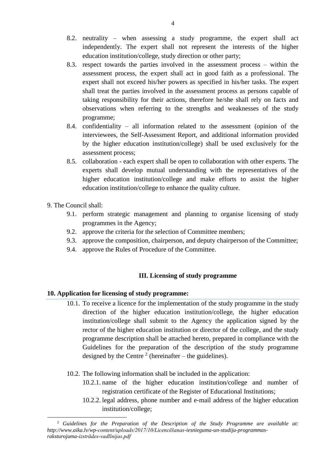- 8.2. neutrality when assessing a study programme, the expert shall act independently. The expert shall not represent the interests of the higher education institution/college, study direction or other party;
- 8.3. respect towards the parties involved in the assessment process within the assessment process, the expert shall act in good faith as a professional. The expert shall not exceed his/her powers as specified in his/her tasks. The expert shall treat the parties involved in the assessment process as persons capable of taking responsibility for their actions, therefore he/she shall rely on facts and observations when referring to the strengths and weaknesses of the study programme;
- 8.4. confidentiality all information related to the assessment (opinion of the interviewees, the Self-Assessment Report, and additional information provided by the higher education institution/college) shall be used exclusively for the assessment process;
- 8.5. collaboration each expert shall be open to collaboration with other experts. The experts shall develop mutual understanding with the representatives of the higher education institution/college and make efforts to assist the higher education institution/college to enhance the quality culture.
- 9. The Council shall:
	- 9.1. perform strategic management and planning to organise licensing of study programmes in the Agency;
	- 9.2. approve the criteria for the selection of Committee members;
	- 9.3. approve the composition, chairperson, and deputy chairperson of the Committee;
	- 9.4. approve the Rules of Procedure of the Committee.

## **III. Licensing of study programme**

### **10. Application for licensing of study programme:**

- 10.1. To receive a licence for the implementation of the study programme in the study direction of the higher education institution/college, the higher education institution/college shall submit to the Agency the application signed by the rector of the higher education institution or director of the college, and the study programme description shall be attached hereto, prepared in compliance with the Guidelines for the preparation of the description of the study programme designed by the Centre<sup>2</sup> (hereinafter – the guidelines).
- 10.2. The following information shall be included in the application:
	- 10.2.1. name of the higher education institution/college and number of registration certificate of the Register of Educational Institutions;
	- 10.2.2. legal address, phone number and e-mail address of the higher education institution/college;

<sup>1</sup> <sup>2</sup> *Guidelines for the Preparation of the Description of the Study Programme are available at: http://www.aika.lv/wp-content/uploads/2017/10/Licencēšanas-iesnieguma-un-studiju-programmasraksturojuma-izstrādes-vadlīnijas.pdf*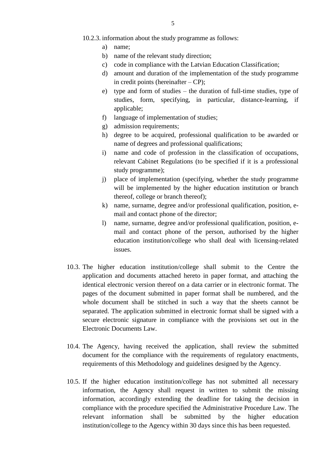#### 10.2.3. information about the study programme as follows:

- a) name;
- b) name of the relevant study direction;
- c) code in compliance with the Latvian Education Classification;
- d) amount and duration of the implementation of the study programme in credit points (hereinafter – CP);
- e) type and form of studies the duration of full-time studies, type of studies, form, specifying, in particular, distance-learning, if applicable;
- f) language of implementation of studies;
- g) admission requirements;
- h) degree to be acquired, professional qualification to be awarded or name of degrees and professional qualifications;
- i) name and code of profession in the classification of occupations, relevant Cabinet Regulations (to be specified if it is a professional study programme);
- j) place of implementation (specifying, whether the study programme will be implemented by the higher education institution or branch thereof, college or branch thereof);
- k) name, surname, degree and/or professional qualification, position, email and contact phone of the director;
- l) name, surname, degree and/or professional qualification, position, email and contact phone of the person, authorised by the higher education institution/college who shall deal with licensing-related issues.
- 10.3. The higher education institution/college shall submit to the Centre the application and documents attached hereto in paper format, and attaching the identical electronic version thereof on a data carrier or in electronic format. The pages of the document submitted in paper format shall be numbered, and the whole document shall be stitched in such a way that the sheets cannot be separated. The application submitted in electronic format shall be signed with a secure electronic signature in compliance with the provisions set out in the Electronic Documents Law.
- 10.4. The Agency, having received the application, shall review the submitted document for the compliance with the requirements of regulatory enactments, requirements of this Methodology and guidelines designed by the Agency.
- 10.5. If the higher education institution/college has not submitted all necessary information, the Agency shall request in written to submit the missing information, accordingly extending the deadline for taking the decision in compliance with the procedure specified the Administrative Procedure Law. The relevant information shall be submitted by the higher education institution/college to the Agency within 30 days since this has been requested.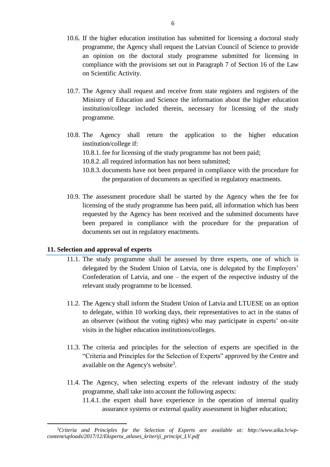- 10.6. If the higher education institution has submitted for licensing a doctoral study programme, the Agency shall request the Latvian Council of Science to provide an opinion on the doctoral study programme submitted for licensing in compliance with the provisions set out in Paragraph 7 of Section 16 of the Law on Scientific Activity.
- 10.7. The Agency shall request and receive from state registers and registers of the Ministry of Education and Science the information about the higher education institution/college included therein, necessary for licensing of the study programme.
- 10.8. The Agency shall return the application to the higher education institution/college if:
	- 10.8.1. fee for licensing of the study programme has not been paid;
	- 10.8.2. all required information has not been submitted;
	- 10.8.3. documents have not been prepared in compliance with the procedure for the preparation of documents as specified in regulatory enactments.
- 10.9. The assessment procedure shall be started by the Agency when the fee for licensing of the study programme has been paid, all information which has been requested by the Agency has been received and the submitted documents have been prepared in compliance with the procedure for the preparation of documents set out in regulatory enactments.

### **11. Selection and approval of experts**

**.** 

- 11.1. The study programme shall be assessed by three experts, one of which is delegated by the Student Union of Latvia, one is delegated by the Employers' Confederation of Latvia, and one – the expert of the respective industry of the relevant study programme to be licensed.
- 11.2. The Agency shall inform the Student Union of Latvia and LTUESE on an option to delegate, within 10 working days, their representatives to act in the status of an observer (without the voting rights) who may participate in experts' on-site visits in the higher education institutions/colleges.
- 11.3. The criteria and principles for the selection of experts are specified in the "Criteria and Principles for the Selection of Experts" approved by the Centre and available on the Agency's website<sup>3</sup>.
- 11.4. The Agency, when selecting experts of the relevant industry of the study programme, shall take into account the following aspects:
	- 11.4.1. the expert shall have experience in the operation of internal quality assurance systems or external quality assessment in higher education;

<sup>3</sup>*Criteria and Principles for the Selection of Experts are available at: http://www.aika.lv/wpcontent/uploads/2017/12/Ekspertu\_atlases\_kriteriji\_principi\_LV.pdf*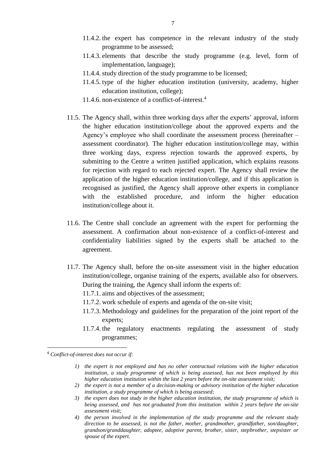- 11.4.2. the expert has competence in the relevant industry of the study programme to be assessed;
- 11.4.3. elements that describe the study programme (e.g. level, form of implementation, language);
- 11.4.4. study direction of the study programme to be licensed;
- 11.4.5. type of the higher education institution (university, academy, higher education institution, college);
- 11.4.6. non-existence of a conflict-of-interest. 4
- 11.5. The Agency shall, within three working days after the experts' approval, inform the higher education institution/college about the approved experts and the Agency's employee who shall coordinate the assessment process (hereinafter – assessment coordinator). The higher education institution/college may, within three working days, express rejection towards the approved experts, by submitting to the Centre a written justified application, which explains reasons for rejection with regard to each rejected expert. The Agency shall review the application of the higher education institution/college, and if this application is recognised as justified, the Agency shall approve other experts in compliance with the established procedure, and inform the higher education institution/college about it.
- 11.6. The Centre shall conclude an agreement with the expert for performing the assessment. A confirmation about non-existence of a conflict-of-interest and confidentiality liabilities signed by the experts shall be attached to the agreement.
- 11.7. The Agency shall, before the on-site assessment visit in the higher education institution/college, organise training of the experts, available also for observers. During the training, the Agency shall inform the experts of:
	- 11.7.1. aims and objectives of the assessment;
	- 11.7.2. work schedule of experts and agenda of the on-site visit;
	- 11.7.3. Methodology and guidelines for the preparation of the joint report of the experts;
	- 11.7.4. the regulatory enactments regulating the assessment of study programmes;

 $\overline{a}$ 

- *1) the expert is not employed and has no other contractual relations with the higher education institution, a study programme of which is being assessed, has not been employed by this higher education institution within the last 2 years before the on-site assessment visit;*
- *2) the expert is not a member of a decision-making or advisory institution of the higher education institution, a study programme of which is being assessed;*
- *3) the expert does not study in the higher education institution, the study programme of which is being assessed, and has not graduated from this institution within 2 years before the on-site assessment visit;*
- *4) the person involved in the implementation of the study programme and the relevant study direction to be assessed, is not the father, mother, grandmother, grandfather, son/daughter, grandson/granddaughter, adoptee, adoptive parent, brother, sister, stepbrother, stepsister or spouse of the expert.*

<sup>4</sup> *Conflict-of-interest does not occur if:*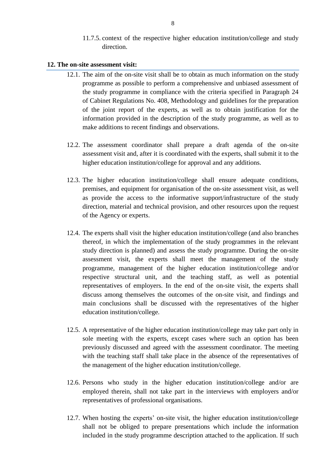11.7.5. context of the respective higher education institution/college and study direction.

#### **12. The on-site assessment visit:**

- 12.1. The aim of the on-site visit shall be to obtain as much information on the study programme as possible to perform a comprehensive and unbiased assessment of the study programme in compliance with the criteria specified in Paragraph 24 of Cabinet Regulations No. 408, Methodology and guidelines for the preparation of the joint report of the experts, as well as to obtain justification for the information provided in the description of the study programme, as well as to make additions to recent findings and observations.
- 12.2. The assessment coordinator shall prepare a draft agenda of the on-site assessment visit and, after it is coordinated with the experts, shall submit it to the higher education institution/college for approval and any additions.
- 12.3. The higher education institution/college shall ensure adequate conditions, premises, and equipment for organisation of the on-site assessment visit, as well as provide the access to the informative support/infrastructure of the study direction, material and technical provision, and other resources upon the request of the Agency or experts.
- 12.4. The experts shall visit the higher education institution/college (and also branches thereof, in which the implementation of the study programmes in the relevant study direction is planned) and assess the study programme. During the on-site assessment visit, the experts shall meet the management of the study programme, management of the higher education institution/college and/or respective structural unit, and the teaching staff, as well as potential representatives of employers. In the end of the on-site visit, the experts shall discuss among themselves the outcomes of the on-site visit, and findings and main conclusions shall be discussed with the representatives of the higher education institution/college.
- 12.5. A representative of the higher education institution/college may take part only in sole meeting with the experts, except cases where such an option has been previously discussed and agreed with the assessment coordinator. The meeting with the teaching staff shall take place in the absence of the representatives of the management of the higher education institution/college.
- 12.6. Persons who study in the higher education institution/college and/or are employed therein, shall not take part in the interviews with employers and/or representatives of professional organisations.
- 12.7. When hosting the experts' on-site visit, the higher education institution/college shall not be obliged to prepare presentations which include the information included in the study programme description attached to the application. If such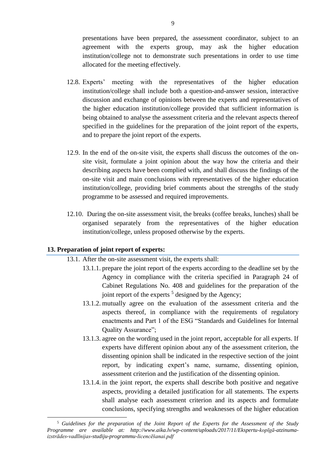presentations have been prepared, the assessment coordinator, subject to an agreement with the experts group, may ask the higher education institution/college not to demonstrate such presentations in order to use time allocated for the meeting effectively.

- 12.8. Experts' meeting with the representatives of the higher education institution/college shall include both a question-and-answer session, interactive discussion and exchange of opinions between the experts and representatives of the higher education institution/college provided that sufficient information is being obtained to analyse the assessment criteria and the relevant aspects thereof specified in the guidelines for the preparation of the joint report of the experts, and to prepare the joint report of the experts.
- 12.9. In the end of the on-site visit, the experts shall discuss the outcomes of the onsite visit, formulate a joint opinion about the way how the criteria and their describing aspects have been complied with, and shall discuss the findings of the on-site visit and main conclusions with representatives of the higher education institution/college, providing brief comments about the strengths of the study programme to be assessed and required improvements.
- 12.10. During the on-site assessment visit, the breaks (coffee breaks, lunches) shall be organised separately from the representatives of the higher education institution/college, unless proposed otherwise by the experts.

### **13. Preparation of joint report of experts:**

### 13.1. After the on-site assessment visit, the experts shall:

- 13.1.1. prepare the joint report of the experts according to the deadline set by the Agency in compliance with the criteria specified in Paragraph 24 of Cabinet Regulations No. 408 and guidelines for the preparation of the joint report of the experts  $5$  designed by the Agency;
- 13.1.2. mutually agree on the evaluation of the assessment criteria and the aspects thereof, in compliance with the requirements of regulatory enactments and Part 1 of the ESG "Standards and Guidelines for Internal Quality Assurance";
- 13.1.3. agree on the wording used in the joint report, acceptable for all experts. If experts have different opinion about any of the assessment criterion, the dissenting opinion shall be indicated in the respective section of the joint report, by indicating expert's name, surname, dissenting opinion, assessment criterion and the justification of the dissenting opinion.
- 13.1.4. in the joint report, the experts shall describe both positive and negative aspects, providing a detailed justification for all statements. The experts shall analyse each assessment criterion and its aspects and formulate conclusions, specifying strengths and weaknesses of the higher education

<sup>1</sup> <sup>5</sup> *Guidelines for the preparation of the Joint Report of the Experts for the Assessment of the Study Programme are available at: http://www.aika.lv/wp-content/uploads/2017/11/Ekspertu-kopīgā-atzinumaizstrādes-vadlīnijas-studiju-programmu-licencēšanai.pdf*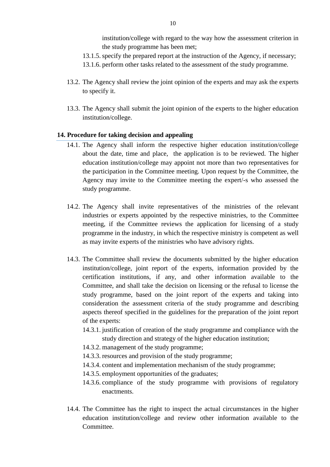institution/college with regard to the way how the assessment criterion in the study programme has been met;

- 13.1.5. specify the prepared report at the instruction of the Agency, if necessary;
- 13.1.6. perform other tasks related to the assessment of the study programme.
- 13.2. The Agency shall review the joint opinion of the experts and may ask the experts to specify it.
- 13.3. The Agency shall submit the joint opinion of the experts to the higher education institution/college.

#### **14. Procedure for taking decision and appealing**

- 14.1. The Agency shall inform the respective higher education institution/college about the date, time and place, the application is to be reviewed. The higher education institution/college may appoint not more than two representatives for the participation in the Committee meeting. Upon request by the Committee, the Agency may invite to the Committee meeting the expert/-s who assessed the study programme.
- 14.2. The Agency shall invite representatives of the ministries of the relevant industries or experts appointed by the respective ministries, to the Committee meeting, if the Committee reviews the application for licensing of a study programme in the industry, in which the respective ministry is competent as well as may invite experts of the ministries who have advisory rights.
- 14.3. The Committee shall review the documents submitted by the higher education institution/college, joint report of the experts, information provided by the certification institutions, if any, and other information available to the Committee, and shall take the decision on licensing or the refusal to license the study programme, based on the joint report of the experts and taking into consideration the assessment criteria of the study programme and describing aspects thereof specified in the guidelines for the preparation of the joint report of the experts:
	- 14.3.1. justification of creation of the study programme and compliance with the study direction and strategy of the higher education institution;
	- 14.3.2. management of the study programme;
	- 14.3.3. resources and provision of the study programme;
	- 14.3.4. content and implementation mechanism of the study programme;
	- 14.3.5. employment opportunities of the graduates;
	- 14.3.6. compliance of the study programme with provisions of regulatory enactments.
- 14.4. The Committee has the right to inspect the actual circumstances in the higher education institution/college and review other information available to the Committee.